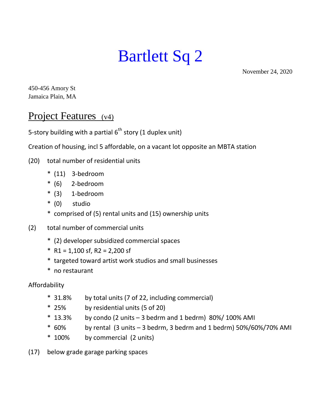## Bartlett Sq 2

November 24, 2020

450-456 Amory St Jamaica Plain, MA

## Project Features (v4)

5-story building with a partial  $6<sup>th</sup>$  story (1 duplex unit)

Creation of housing, incl 5 affordable, on a vacant lot opposite an MBTA station

- (20) total number of residential units
	- \* (11) 3-bedroom
	- \* (6) 2-bedroom
	- $*$  (3) 1-bedroom
	- \* (0) studio
	- \* comprised of (5) rental units and (15) ownership units
- (2) total number of commercial units
	- \* (2) developer subsidized commercial spaces
	- $*$  R1 = 1,100 sf, R2 = 2,200 sf
	- \* targeted toward artist work studios and small businesses
	- \* no restaurant

Affordability

- \* 31.8% by total units (7 of 22, including commercial)
- \* 25% by residential units (5 of 20)
- $*$  13.3% by condo (2 units 3 bedrm and 1 bedrm) 80%/ 100% AMI
- \* 60% by rental (3 units 3 bedrm, 3 bedrm and 1 bedrm) 50%/60%/70% AMI
- \* 100% by commercial (2 units)

(17) below grade garage parking spaces